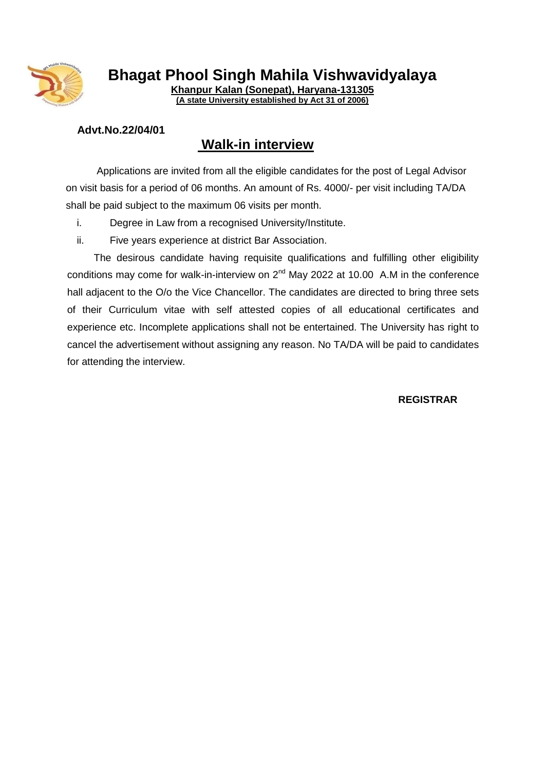

**Bhagat Phool Singh Mahila Vishwavidyalaya**

**Khanpur Kalan (Sonepat), Haryana-131305 (A state University established by Act 31 of 2006)**

## **Advt.No.22/04/01**

## **Walk-in interview**

 Applications are invited from all the eligible candidates for the post of Legal Advisor on visit basis for a period of 06 months. An amount of Rs. 4000/- per visit including TA/DA shall be paid subject to the maximum 06 visits per month.

- i. Degree in Law from a recognised University/Institute.
- ii. Five years experience at district Bar Association.

 The desirous candidate having requisite qualifications and fulfilling other eligibility conditions may come for walk-in-interview on  $2^{nd}$  May 2022 at 10.00 A.M in the conference hall adjacent to the O/o the Vice Chancellor. The candidates are directed to bring three sets of their Curriculum vitae with self attested copies of all educational certificates and experience etc. Incomplete applications shall not be entertained. The University has right to cancel the advertisement without assigning any reason. No TA/DA will be paid to candidates for attending the interview.

**REGISTRAR**